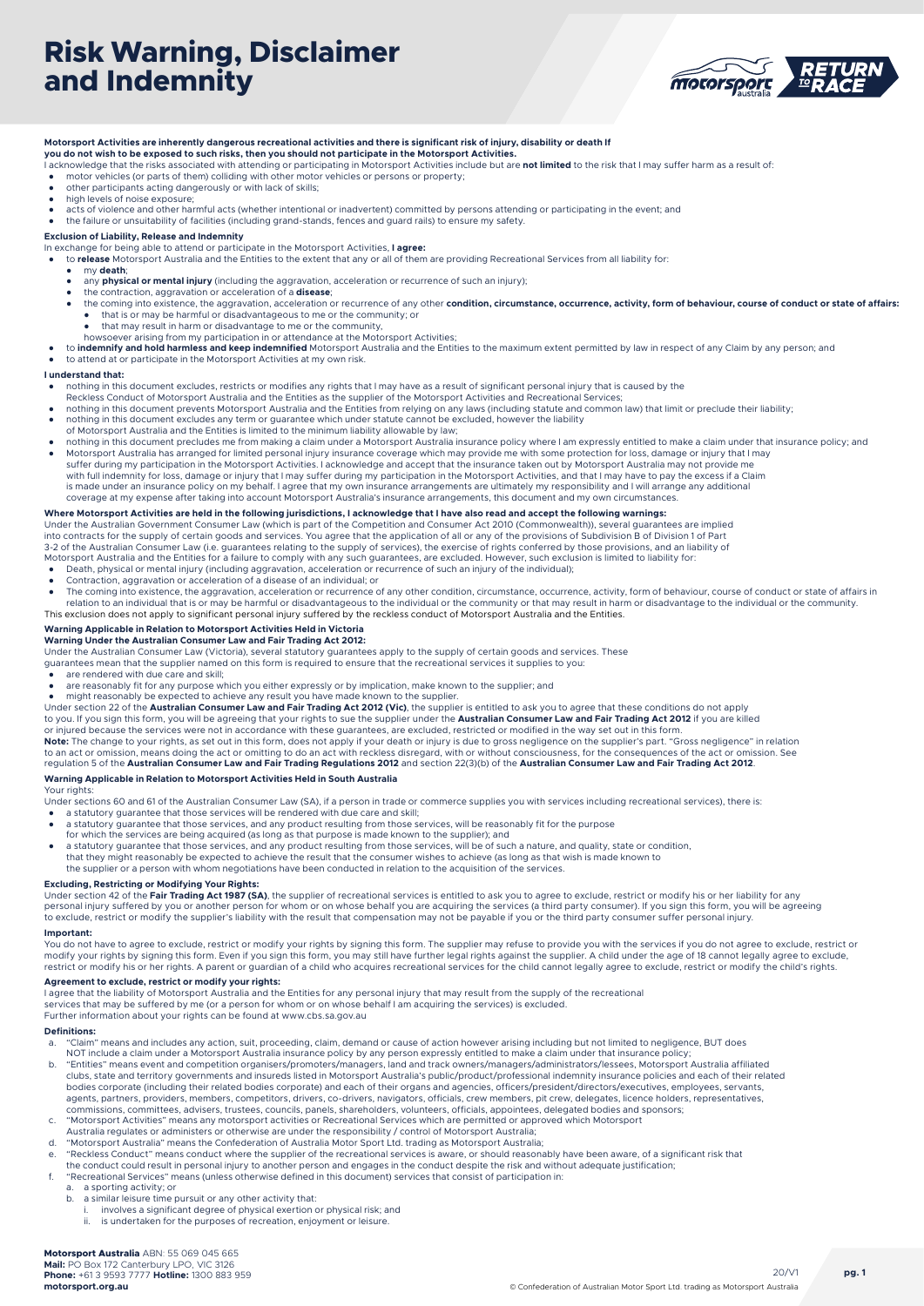# **Risk Warning, Disclaimer and Indemnity**



#### **Motorsport Activities are inherently dangerous recreational activities and there is significant risk of injury, disability or death If you do not wish to be exposed to such risks, then you should not participate in the Motorsport Activities.**

- I acknowledge that the risks associated with attending or participating in Motorsport Activities include but are **not limited** to the risk that I may suffer harm as a result of:
- motor vehicles (or parts of them) colliding with other motor vehicles or persons or property; other participants acting dangerously or with lack of skills;
- bind: parallelence exposure;
- 
- acts of violence and other harmful acts (whether intentional or inadvertent) committed by persons attending or participating in the event; and the failure or unsuitability of facilities (including grand-stands, fences and guard rails) to ensure my safety.

#### **Exclusion of Liability, Release and Indemnity**

In exchange for being able to attend or participate in the Motorsport Activities, **I agree:** 

- to **release** Motorsport Australia and the Entities to the extent that any or all of them are providing Recreational Services from all liability for
- my **death**;
- any **physical or mental injury** (including the aggravation, acceleration or recurrence of such an injury); the contraction, aggravation or acceleration of a **disease**;
- 
- the coming into existence, the aggravation, acceleration or recurrence of any other **condition, circumstance, occurrence, activity, form of behaviour, course of conduct or state of affairs:** ● that is or may be harmful or disadvantageous to me or the community; or<br>● that may result in harm or disadvantage to me or the community,
- howsoever arising from my participation in or attendance at the Motorsport Activities;
- to **indemnify and hold harmless and keep indemnified** Motorsport Australia and the Entities to the maximum extent permitted by law in respect of any Claim by any person; and to attend at or participate in the Motorsport Activities at my own risk.

#### **I understand that:**

- nothing in this document excludes, restricts or modifies any rights that I may have as a result of significant personal injury that is caused by the
- Reckless Conduct of Motorsport Australia and the Entities as the supplier of the Motorsport Activities and Recreational Services;
- nothing in this document prevents Motorsport Australia and the Entities from relying on any laws (including statute and common law) that limit or preclude their liability;
- nothing in this document excludes any term or guarantee which under statute cannot be excluded, however the liability of Motorsport Australia and the Entities is limited to the minimum liability allowable by law;
- 
- nothing in this document precludes me from making a claim under a Motorsport Australia insurance policy where I am expressly entitled to make a claim under that insurance policy; and Motorsport Australia has arranged for limited personal injury insurance coverage which may provide me with some protection for loss, damage or injury that I may suffer during my participation in the Motorsport Activities. I acknowledge and accept that the insurance taken out by Motorsport Australia may not provide me<br>with full indemnity for loss, damage or injury that I may suffer is made under an insurance policy on my behalf. I agree that my own insurance arrangements are ultimately my responsibility and I will arrange any additional coverage at my expense after taking into account Motorsport Australia's insurance arrangements, this document and my own circumstances.

## **Where Motorsport Activities are held in the following jurisdictions, I acknowledge that I have also read and accept the following warnings:**

Under the Australian Government Consumer Law (which is part of the Competition and Consumer Act 2010 (Commonwealth)), several guarantees are implied<br>into contracts for the supply of certain goods and services. You agree th

3-2 of the Australian Consumer Law (i.e. guarantees relating to the supply of services), the exercise of rights conferred by those provisions, and an liability of

- Motorsport Australia and the Entities for a failure to comply with any such guarantees, are excluded. However, such exclusion is limited to liability for:<br>• Death, physical or mental injury (including aggravation, accelera
- 
- Contraction, aggravation or acceleration of a disease of an individual; or
- The coming into existence, the aggravation, acceleration or recurrence of any other condition, circumstance, occurrence, activity, form of behaviour, course of conduct or state of affairs in relation to an individual that is or may be harmful or disadvantageous to the individual or the community or that may result in harm or disadvantage to the individual or the community. This exclusion does not apply to significant personal injury suffered by the reckless conduct of Motorsport Australia and the Entities.

### **Warning Applicable in Relation to Motorsport Activities Held in Victoria**

**Warning Under the Australian Consumer Law and Fair Trading Act 2012:** 

- Under the Australian Consumer Law (Victoria), several statutory guarantees apply to the supply of certain goods and services. These guarantees mean that the supplier named on this form is required to ensure that the recreational services it supplies to you:
- are rendered with due care and skill;
- 
- are reasonably fit for any purpose which you either expressly or by implication, make known to the supplier; and<br>● might reasonably be expected to achieve any result you have made known to the supplier.
- Under section 22 of the **Australian Consumer Law and Fair Trading Act 2012 (Vic)**, the supplier is entitled to ask you to agree that these conditions do not apply<br>to you. If you sign this form, you will be agreeing that yo

or injured because the services were not in accordance with these guarantees, are excluded, restricted or modified in the way set out in this form.<br>**Note:** The change to your rights, as set out in this form, does not apply to an act or omission, means doing the act or omitting to do an act with reckless disregard, with or without consciousness, for the consequences of the act or omission. See<br>regulation 5 of the **Australian Consumer Law and** 

#### **Warning Applicable in Relation to Motorsport Activities Held in South Australia**

Your rights

Under sections 60 and 61 of the Australian Consumer Law (SA), if a person in trade or commerce supplies you with services including recreational services), there is:

- 
- a statutory guarantee that those services will be rendered with due care and skill; a statutory guarantee that those services, and any product resulting from those services, will be reasonably fit for the purpose
- for which the services are being acquired (as long as that purpose is made known to the supplier); and ● a statutory guarantee that those services, and any product resulting from those services, will be of such a nature, and quality, state or condition,
- that they might reasonably be expected to achieve the result that the consumer wishes to achieve (as long as that wish is made known to

the supplier or a person with whom negotiations have been conducted in relation to the acquisition of the services.

#### **Excluding, Restricting or Modifying Your Rights:**

Under section 42 of the **Fair Trading Act 1987 (SA)**, the supplier of recreational services is entitled to ask you to agree to exclude, restrict or modify his or her liability for any<br>personal injury suffered by you or ano to exclude, restrict or modify the supplier's liability with the result that compensation may not be payable if you or the third party consumer suffer personal injury.

#### **Important:**

You do not have to agree to exclude, restrict or modify your rights by signing this form. The supplier may refuse to provide you with the services if you do not agree to exclude, restrict or modify your rights by signing this form. Even if you sign this form, you may still have further legal rights against the supplier. A child under the age of 18 cannot legally agree to exclude, restrict or modify his or her rights. A parent or guardian of a child who acquires recreational services for the child cannot legally agree to exclude, restrict or modify the child's rights.

### **Agreement to exclude, restrict or modify your rights:**

I agree that the liability of Motorsport Australia and the Entities for any personal injury that may result from the supply of the recreational

services that may be suffered by me (or a person for whom or on whose behalf I am acquiring the services) is excluded. Further information about your rights can be found at www.cbs.sa.gov.au

#### **Definitions:**

- a. "Claim" means and includes any action, suit, proceeding, claim, demand or cause of action however arising including but not limited to negligence, BUT does NOT include a claim under a Motorsport Australia insurance policy by any person expressly entitled to make a claim under that insurance policy;
- b. "Entities" means event and competition organisers/promoters/managers, land and track owners/managers/administrators/lessees, Motorsport Australia affiliated<br>clubs, state and territory governments and insureds listed in bodies corporate (including their related bodies corporate) and each of their organs and agencies, officers/president/directors/executives, employees, servants,<br>agents, partners, providers, members, competitors, drivers, c commissions, committees, advisers, trustees, councils, panels, shareholders, volunteers, officials, appointees, delegated bodies and sponsors;<br>C. "Motorsport Activities" means any motorsport activities or Recreational S
- Australia regulates or administers or otherwise are under the responsibility / control of Motorsport Australia;
- 
- d. "Motorsport Australia" means the Confederation of Australia Motor Sport Ltd. trading as Motorsport Australia;<br>e. "Reckless Conduct" means conduct where the supplier of the recreational services is aware, or should reaso
- the conduct could result in personal injury to another person and engages in the conduct despite the risk and without adequate justification;
- f. "Recreational Services" means (unless otherwise defined in this document) services that consist of participation in:
- a sporting activity; or
- b. a similar leisure time pursuit or any other activity that:
	- i. involves a significant degree of physical exertion or physical risk; and<br>i. is undertaken for the purposes of recreation enjoyment or leisure
- is undertaken for the purposes of recreation, enjoyment or leisure.

 $20/11$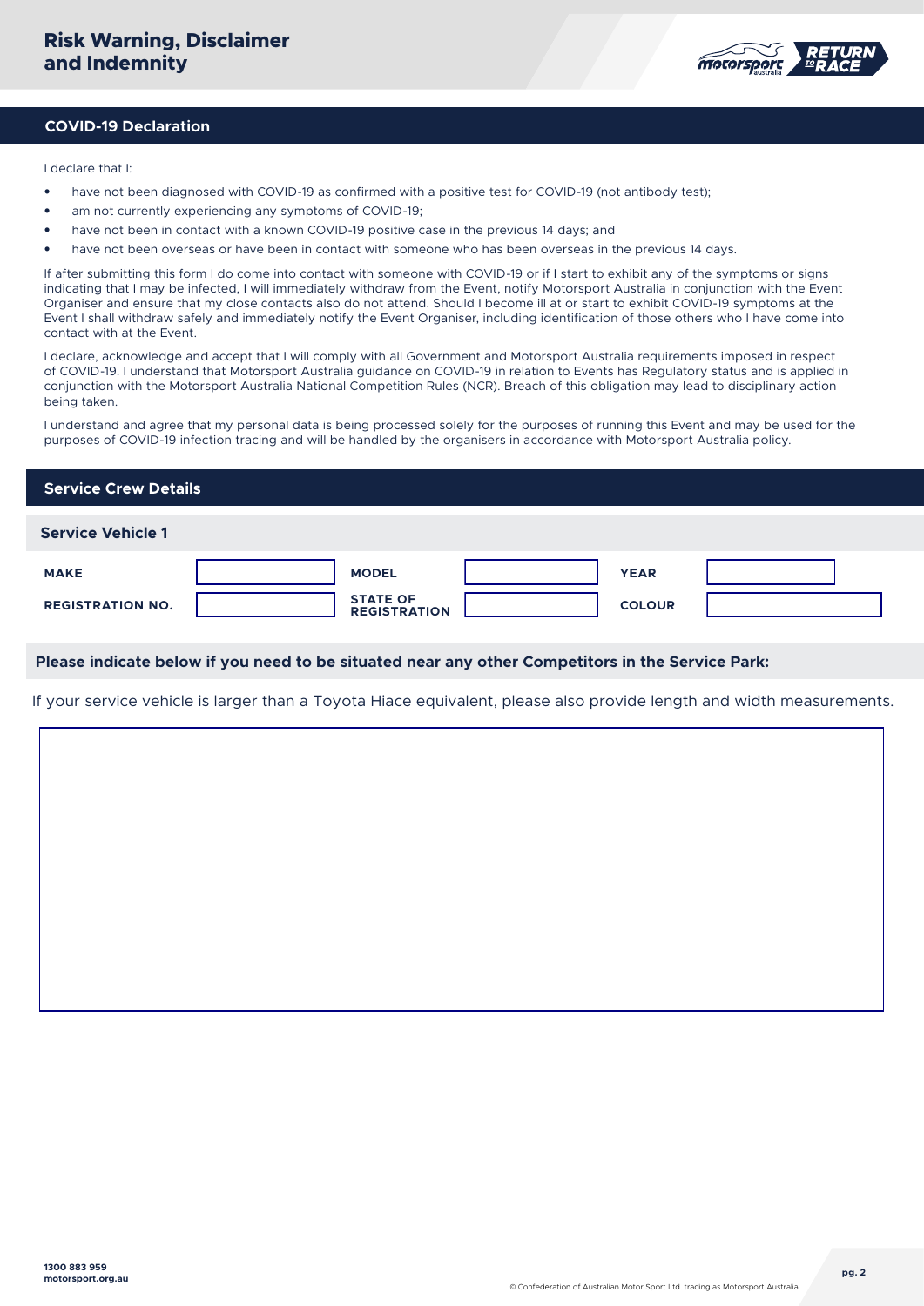

## **COVID-19 Declaration**

I declare that I:

- have not been diagnosed with COVID-19 as confirmed with a positive test for COVID-19 (not antibody test);
- am not currently experiencing any symptoms of COVID-19;
- have not been in contact with a known COVID-19 positive case in the previous 14 days; and
- have not been overseas or have been in contact with someone who has been overseas in the previous 14 days.

If after submitting this form I do come into contact with someone with COVID-19 or if I start to exhibit any of the symptoms or signs indicating that I may be infected, I will immediately withdraw from the Event, notify Motorsport Australia in conjunction with the Event Organiser and ensure that my close contacts also do not attend. Should I become ill at or start to exhibit COVID-19 symptoms at the Event I shall withdraw safely and immediately notify the Event Organiser, including identification of those others who I have come into contact with at the Event.

I declare, acknowledge and accept that I will comply with all Government and Motorsport Australia requirements imposed in respect of COVID-19. I understand that Motorsport Australia guidance on COVID-19 in relation to Events has Regulatory status and is applied in conjunction with the Motorsport Australia National Competition Rules (NCR). Breach of this obligation may lead to disciplinary action being taken.

I understand and agree that my personal data is being processed solely for the purposes of running this Event and may be used for the purposes of COVID-19 infection tracing and will be handled by the organisers in accordance with Motorsport Australia policy.

# **Service Crew Details**

| <b>Service Vehicle 1</b> |                                        |               |  |
|--------------------------|----------------------------------------|---------------|--|
| <b>MAKE</b>              | <b>MODEL</b>                           | <b>YEAR</b>   |  |
| <b>REGISTRATION NO.</b>  | <b>STATE OF</b><br><b>REGISTRATION</b> | <b>COLOUR</b> |  |

## **Please indicate below if you need to be situated near any other Competitors in the Service Park:**

If your service vehicle is larger than a Toyota Hiace equivalent, please also provide length and width measurements.